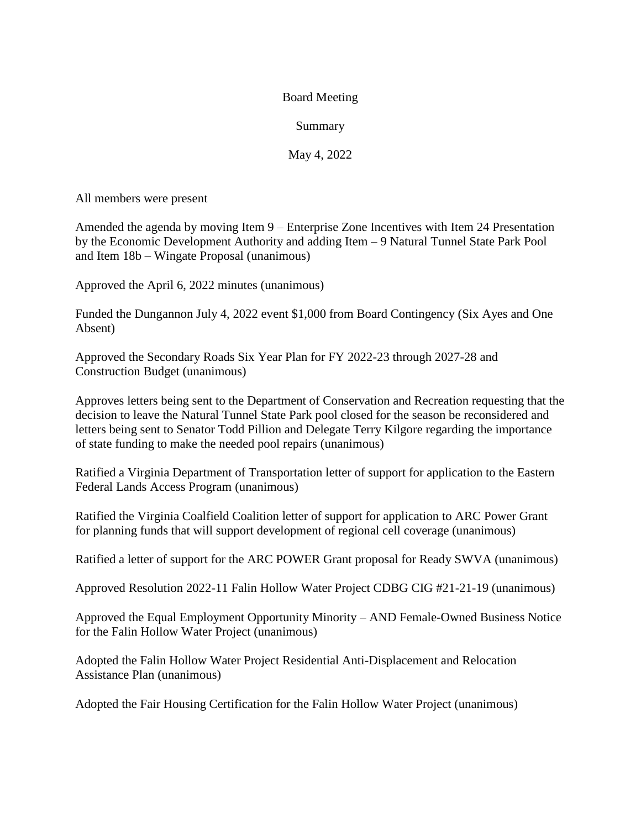## Board Meeting

## Summary

May 4, 2022

All members were present

Amended the agenda by moving Item 9 – Enterprise Zone Incentives with Item 24 Presentation by the Economic Development Authority and adding Item – 9 Natural Tunnel State Park Pool and Item 18b – Wingate Proposal (unanimous)

Approved the April 6, 2022 minutes (unanimous)

Funded the Dungannon July 4, 2022 event \$1,000 from Board Contingency (Six Ayes and One Absent)

Approved the Secondary Roads Six Year Plan for FY 2022-23 through 2027-28 and Construction Budget (unanimous)

Approves letters being sent to the Department of Conservation and Recreation requesting that the decision to leave the Natural Tunnel State Park pool closed for the season be reconsidered and letters being sent to Senator Todd Pillion and Delegate Terry Kilgore regarding the importance of state funding to make the needed pool repairs (unanimous)

Ratified a Virginia Department of Transportation letter of support for application to the Eastern Federal Lands Access Program (unanimous)

Ratified the Virginia Coalfield Coalition letter of support for application to ARC Power Grant for planning funds that will support development of regional cell coverage (unanimous)

Ratified a letter of support for the ARC POWER Grant proposal for Ready SWVA (unanimous)

Approved Resolution 2022-11 Falin Hollow Water Project CDBG CIG #21-21-19 (unanimous)

Approved the Equal Employment Opportunity Minority – AND Female-Owned Business Notice for the Falin Hollow Water Project (unanimous)

Adopted the Falin Hollow Water Project Residential Anti-Displacement and Relocation Assistance Plan (unanimous)

Adopted the Fair Housing Certification for the Falin Hollow Water Project (unanimous)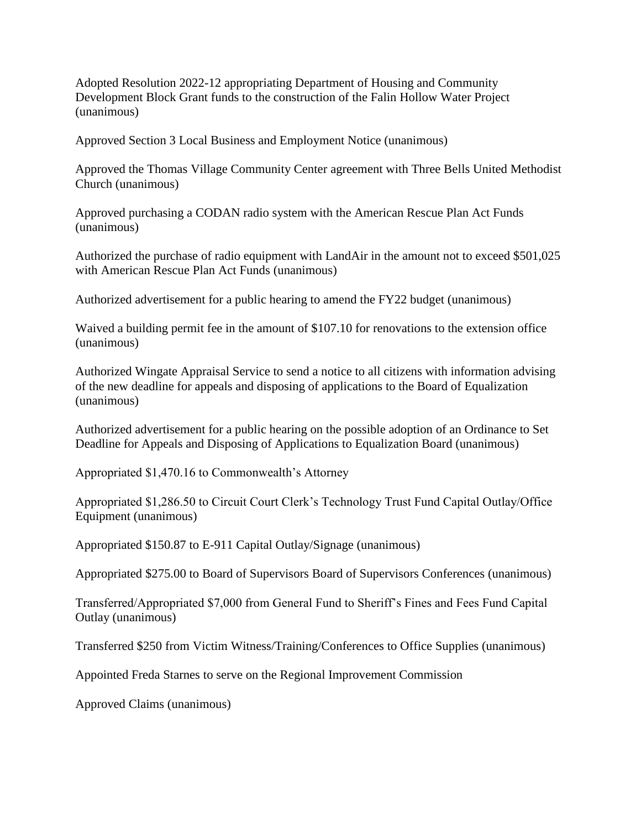Adopted Resolution 2022-12 appropriating Department of Housing and Community Development Block Grant funds to the construction of the Falin Hollow Water Project (unanimous)

Approved Section 3 Local Business and Employment Notice (unanimous)

Approved the Thomas Village Community Center agreement with Three Bells United Methodist Church (unanimous)

Approved purchasing a CODAN radio system with the American Rescue Plan Act Funds (unanimous)

Authorized the purchase of radio equipment with LandAir in the amount not to exceed \$501,025 with American Rescue Plan Act Funds (unanimous)

Authorized advertisement for a public hearing to amend the FY22 budget (unanimous)

Waived a building permit fee in the amount of \$107.10 for renovations to the extension office (unanimous)

Authorized Wingate Appraisal Service to send a notice to all citizens with information advising of the new deadline for appeals and disposing of applications to the Board of Equalization (unanimous)

Authorized advertisement for a public hearing on the possible adoption of an Ordinance to Set Deadline for Appeals and Disposing of Applications to Equalization Board (unanimous)

Appropriated \$1,470.16 to Commonwealth's Attorney

Appropriated \$1,286.50 to Circuit Court Clerk's Technology Trust Fund Capital Outlay/Office Equipment (unanimous)

Appropriated \$150.87 to E-911 Capital Outlay/Signage (unanimous)

Appropriated \$275.00 to Board of Supervisors Board of Supervisors Conferences (unanimous)

Transferred/Appropriated \$7,000 from General Fund to Sheriff's Fines and Fees Fund Capital Outlay (unanimous)

Transferred \$250 from Victim Witness/Training/Conferences to Office Supplies (unanimous)

Appointed Freda Starnes to serve on the Regional Improvement Commission

Approved Claims (unanimous)